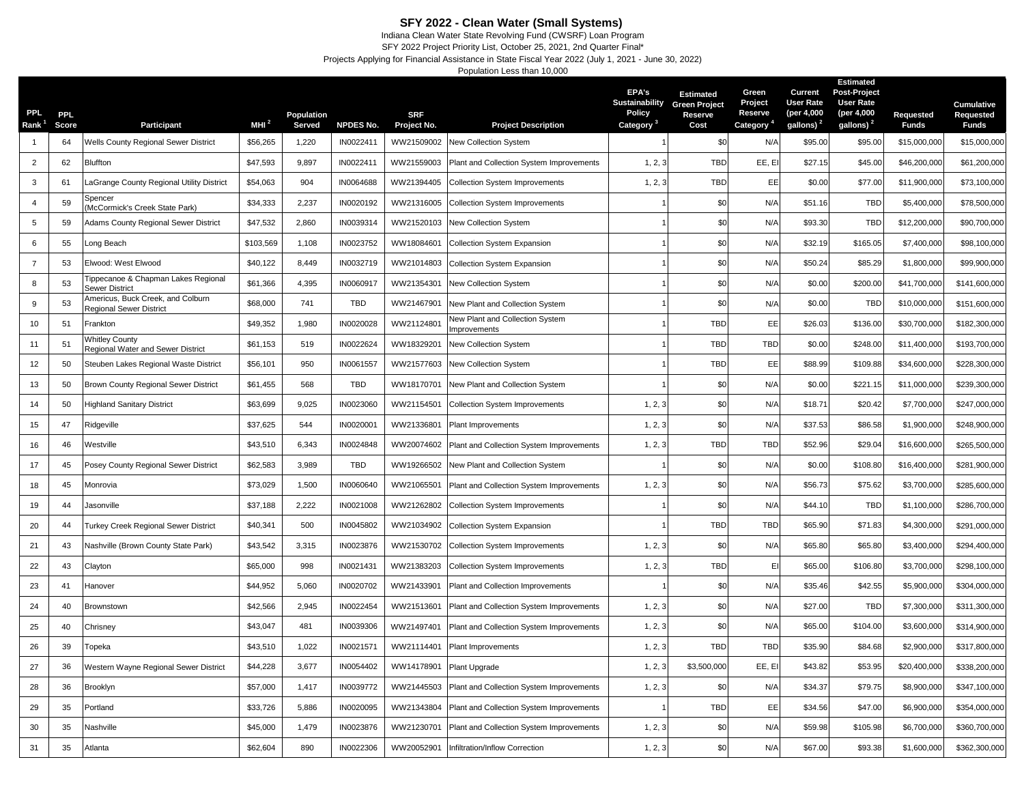## **SFY 2022 - Clean Water (Small Systems)**

Indiana Clean Water State Revolving Fund (CWSRF) Loan Program SFY 2022 Project Priority List, October 25, 2021, 2nd Quarter Final\*

Projects Applying for Financial Assistance in State Fiscal Year 2022 (July 1, 2021 - June 30, 2022)

Population Less than 10,000

| PPL.<br><b>Rank</b> | <b>PPL</b><br>Score | Participant                                                  | MHI $^2$  | Population<br>Served | <b>NPDES No.</b> | <b>SRF</b>                | <b>Project Description</b>                      | EPA's<br><b>Sustainability</b><br>Policy<br>Category | <b>Estimated</b><br><b>Green Project</b><br>Reserve<br>Cost | Green<br>Project<br>Reserve<br>Category <sup>4</sup> | Current<br><b>User Rate</b><br>(per 4,000<br>gallons) <sup>2</sup> | <b>Estimated</b><br>Post-Project<br><b>User Rate</b><br>(per 4,000<br>gallons) <sup>2</sup> | Requested<br><b>Funds</b> | <b>Cumulative</b><br>Requested<br>Funds |
|---------------------|---------------------|--------------------------------------------------------------|-----------|----------------------|------------------|---------------------------|-------------------------------------------------|------------------------------------------------------|-------------------------------------------------------------|------------------------------------------------------|--------------------------------------------------------------------|---------------------------------------------------------------------------------------------|---------------------------|-----------------------------------------|
|                     | 64                  | <b>Wells County Regional Sewer District</b>                  | \$56,265  | 1,220                | IN0022411        | Project No.<br>WW21509002 | New Collection System                           |                                                      | \$0                                                         | N/f                                                  | \$95.00                                                            | \$95.00                                                                                     | \$15,000,000              | \$15,000,000                            |
| $\overline{2}$      | 62                  | Bluffton                                                     | \$47,593  | 9,897                | IN0022411        | WW21559003                | Plant and Collection System Improvements        | 1, 2, 3                                              | <b>TBD</b>                                                  | EE, EI                                               | \$27.15                                                            | \$45.00                                                                                     | \$46,200,000              | \$61,200,000                            |
| 3                   | 61                  | LaGrange County Regional Utility District                    | \$54,063  | 904                  | IN0064688        | WW21394405                | <b>Collection System Improvements</b>           | 1, 2, 3                                              | TBD                                                         | EE                                                   | \$0.00                                                             | \$77.00                                                                                     | \$11,900,000              | \$73,100,000                            |
| $\overline{4}$      | 59                  | Spencer<br>McCormick's Creek State Park)                     | \$34,333  | 2,237                | IN0020192        | WW21316005                | <b>Collection System Improvements</b>           |                                                      | \$0                                                         | N/A                                                  | \$51.16                                                            | <b>TBD</b>                                                                                  | \$5,400,000               | \$78,500,000                            |
| 5                   | 59                  | Adams County Regional Sewer District                         | \$47,532  | 2,860                | IN0039314        | WW21520103                | New Collection System                           |                                                      | \$0                                                         | N/A                                                  | \$93.30                                                            | <b>TBD</b>                                                                                  | \$12,200,000              | \$90,700,000                            |
| 6                   | 55                  | Long Beach                                                   | \$103,569 | 1,108                | IN0023752        | WW18084601                | Collection System Expansion                     |                                                      | \$0                                                         | N/A                                                  | \$32.19                                                            | \$165.05                                                                                    | \$7,400,000               | \$98,100,000                            |
| $\overline{7}$      | 53                  | Elwood: West Elwood                                          | \$40,122  | 8,449                | IN0032719        | WW21014803                | <b>Collection System Expansion</b>              |                                                      | \$0                                                         | N/A                                                  | \$50.24                                                            | \$85.29                                                                                     | \$1,800,000               | \$99,900,000                            |
| 8                   | 53                  | ippecanoe & Chapman Lakes Regional<br>Sewer District         | \$61,366  | 4,395                | IN0060917        | WW21354301                | New Collection System                           |                                                      | \$0                                                         | N/A                                                  | \$0.00                                                             | \$200.00                                                                                    | \$41,700,000              | \$141,600,000                           |
| 9                   | 53                  | Americus, Buck Creek, and Colburn<br>Regional Sewer District | \$68,000  | 741                  | TBD              | WW21467901                | New Plant and Collection System                 |                                                      | \$0                                                         | N/A                                                  | \$0.00                                                             | <b>TBD</b>                                                                                  | \$10,000,000              | \$151,600,000                           |
| 10                  | 51                  | Frankton                                                     | \$49,352  | 1,980                | IN0020028        | WW21124801                | New Plant and Collection System<br>Improvements |                                                      | TBD                                                         | EE                                                   | \$26.03                                                            | \$136.00                                                                                    | \$30,700,000              | \$182,300,000                           |
| 11                  | 51                  | <b>Whitley County</b><br>Regional Water and Sewer District   | \$61,153  | 519                  | IN0022624        | WW18329201                | New Collection System                           |                                                      | TBD                                                         | TBD                                                  | \$0.00                                                             | \$248.00                                                                                    | \$11,400,000              | \$193,700,000                           |
| 12                  | 50                  | Steuben Lakes Regional Waste District                        | \$56,101  | 950                  | IN0061557        | WW21577603                | New Collection System                           |                                                      | TBD                                                         | EE                                                   | \$88.99                                                            | \$109.88                                                                                    | \$34,600,000              | \$228,300,000                           |
| 13                  | 50                  | Brown County Regional Sewer District                         | \$61,455  | 568                  | TBD              | WW18170701                | New Plant and Collection System                 |                                                      | \$0                                                         | N/A                                                  | \$0.00                                                             | \$221.15                                                                                    | \$11,000,000              | \$239,300,000                           |
| 14                  | 50                  | <b>Highland Sanitary District</b>                            | \$63,699  | 9,025                | IN0023060        | WW21154501                | <b>Collection System Improvements</b>           | 1, 2, 3                                              | \$0                                                         | N/A                                                  | \$18.71                                                            | \$20.42                                                                                     | \$7,700,000               | \$247,000,000                           |
| 15                  | 47                  | Ridgeville                                                   | \$37,625  | 544                  | IN002000         | WW21336801                | Plant Improvements                              | 1, 2, 3                                              | \$0                                                         | N/A                                                  | \$37.53                                                            | \$86.58                                                                                     | \$1,900,000               | \$248,900,000                           |
| 16                  | 46                  | Westville                                                    | \$43,510  | 6,343                | IN0024848        | WW20074602                | Plant and Collection System Improvements        | 1, 2, 3                                              | TBD                                                         | <b>TBD</b>                                           | \$52.96                                                            | \$29.04                                                                                     | \$16,600,000              | \$265,500,000                           |
| 17                  | 45                  | Posey County Regional Sewer District                         | \$62,583  | 3,989                | TBD              | WW19266502                | New Plant and Collection System                 |                                                      | \$0                                                         | N/A                                                  | \$0.00                                                             | \$108.80                                                                                    | \$16,400,000              | \$281,900,000                           |
| 18                  | 45                  | Monrovia                                                     | \$73,029  | 1,500                | IN0060640        | WW21065501                | Plant and Collection System Improvements        | 1, 2, 3                                              | \$0                                                         | N/A                                                  | \$56.73                                                            | \$75.62                                                                                     | \$3,700,000               | \$285,600,000                           |
| 19                  | 44                  | lasonville                                                   | \$37,188  | 2,222                | IN0021008        | WW21262802                | <b>Collection System Improvements</b>           |                                                      | \$0                                                         | N/A                                                  | \$44.10                                                            | <b>TBD</b>                                                                                  | \$1,100,000               | \$286,700,000                           |
| 20                  | 44                  | Turkey Creek Regional Sewer District                         | \$40,341  | 500                  | IN0045802        | WW21034902                | <b>Collection System Expansion</b>              |                                                      | <b>TBD</b>                                                  | <b>TBD</b>                                           | \$65.90                                                            | \$71.83                                                                                     | \$4,300,000               | \$291,000,000                           |
| 21                  | 43                  | Nashville (Brown County State Park)                          | \$43,542  | 3,315                | IN0023876        | WW21530702                | <b>Collection System Improvements</b>           | 1, 2, 3                                              | \$0                                                         | N/A                                                  | \$65.80                                                            | \$65.80                                                                                     | \$3,400,000               | \$294,400,000                           |
| 22                  | 43                  | Clayton                                                      | \$65,000  | 998                  | IN0021431        | WW21383203                | <b>Collection System Improvements</b>           | 1, 2, 3                                              | <b>TBD</b>                                                  | EI                                                   | \$65.00                                                            | \$106.80                                                                                    | \$3,700,000               | \$298,100,000                           |
| 23                  | 41                  | Hanover                                                      | \$44,952  | 5,060                | IN0020702        | WW21433901                | Plant and Collection Improvements               |                                                      | \$0                                                         | N/A                                                  | \$35.46                                                            | \$42.55                                                                                     | \$5,900,000               | \$304,000,000                           |
| 24                  | 40                  | Brownstown                                                   | \$42,566  | 2,945                | IN0022454        | WW21513601                | Plant and Collection System Improvements        | 1, 2, 3                                              | \$0                                                         | N/A                                                  | \$27.00                                                            | <b>TBD</b>                                                                                  | \$7,300,000               | \$311,300,000                           |
| 25                  | 40                  | Chrisney                                                     | \$43,047  | 481                  | IN0039306        | WW21497401                | Plant and Collection System Improvements        | 1, 2, 3                                              | \$0                                                         | N/A                                                  | \$65.00                                                            | \$104.00                                                                                    | \$3,600,000               | \$314,900,000                           |
| 26                  | 39                  | Горека                                                       | \$43,510  | 1,022                | IN0021571        | WW21114401                | Plant Improvements                              | 1, 2, 3                                              | <b>TBD</b>                                                  | <b>TBD</b>                                           | \$35.90                                                            | \$84.68                                                                                     | \$2,900,000               | \$317,800,000                           |
| 27                  | 36                  | Western Wayne Regional Sewer District                        | \$44,228  | 3,677                | IN0054402        | WW14178901                | Plant Upgrade                                   | 1, 2, 3                                              | \$3,500,000                                                 | EE, EI                                               | \$43.82                                                            | \$53.95                                                                                     | \$20,400,000              | \$338,200,000                           |
| 28                  | 36                  | Brooklyn                                                     | \$57,000  | 1,417                | IN0039772        | WW21445503                | Plant and Collection System Improvements        | 1, 2, 3                                              | \$0                                                         | N/A                                                  | \$34.37                                                            | \$79.75                                                                                     | \$8,900,000               | \$347,100,000                           |
| 29                  | 35                  | Portland                                                     | \$33,726  | 5,886                | IN0020095        | WW21343804                | Plant and Collection System Improvements        |                                                      | TBD                                                         | EE                                                   | \$34.56                                                            | \$47.00                                                                                     | \$6,900,000               | \$354,000,000                           |
| 30                  | 35                  | Nashville                                                    | \$45,000  | 1,479                | IN0023876        | WW21230701                | Plant and Collection System Improvements        | 1, 2, 3                                              | \$0                                                         | N/A                                                  | \$59.98                                                            | \$105.98                                                                                    | \$6,700,000               | \$360,700,000                           |
| 31                  | 35                  | Atlanta                                                      | \$62,604  | 890                  | IN0022306        | WW20052901                | Infiltration/Inflow Correction                  | 1, 2, 3                                              | \$0                                                         | N/A                                                  | \$67.00                                                            | \$93.38                                                                                     | \$1,600,000               | \$362,300,000                           |